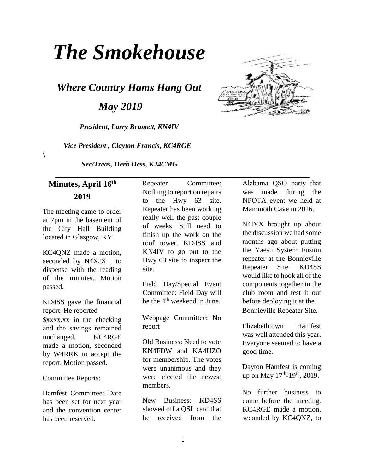# *The Smokehouse*

*Where Country Hams Hang Out* 

 *May 2019* 

*President, Larry Brumett, KN4IV* 

 *Vice President , Clayton Francis, KC4RGE* 

*Sec/Treas, Herb Hess, KJ4CMG* 

## **Minutes, April 16th 2019**

 $\lambda$ 

The meeting came to order at 7pm in the basement of the City Hall Building located in Glasgow, KY.

KC4QNZ made a motion, seconded by N4XJX , to dispense with the reading of the minutes. Motion passed.

KD4SS gave the financial report. He reported \$xxxx.xx in the checking and the savings remained unchanged. KC4RGE made a motion, seconded by W4RRK to accept the report. Motion passed.

Committee Reports:

Hamfest Committee: Date has been set for next year and the convention center has been reserved.

Repeater Committee: Nothing to report on repairs to the Hwy 63 site. Repeater has been working really well the past couple of weeks. Still need to finish up the work on the roof tower. KD4SS and KN4IV to go out to the Hwy 63 site to inspect the site.

 **\_\_\_\_\_\_\_\_\_\_\_\_\_\_\_\_\_\_\_\_\_\_\_\_\_\_\_\_\_\_\_\_\_\_\_\_\_\_\_\_\_\_\_\_\_\_\_\_\_\_\_\_\_\_\_\_\_\_\_\_\_\_\_\_\_\_\_\_\_\_\_** 

Field Day/Special Event Committee: Field Day will be the  $4<sup>th</sup>$  weekend in June.

Webpage Committee: No report

Old Business: Need to vote KN4FDW and KA4UZO for membership. The votes were unanimous and they were elected the newest members.

New Business: KD4SS showed off a QSL card that he received from the

Alabama QSO party that was made during the NPOTA event we held at Mammoth Cave in 2016.

N4IYX brought up about the discussion we had some months ago about putting the Yaesu System Fusion repeater at the Bonnieville Repeater Site. KD4SS would like to hook all of the components together in the club room and test it out before deploying it at the Bonnieville Repeater Site.

Elizabethtown Hamfest was well attended this year. Everyone seemed to have a good time.

Dayton Hamfest is coming up on May  $17^{\text{th}}$ -19<sup>th</sup>, 2019.

No further business to come before the meeting. KC4RGE made a motion, seconded by KC4QNZ, to

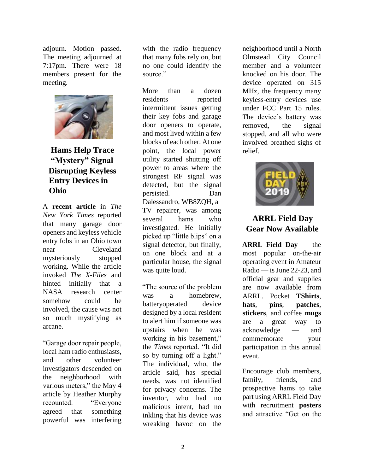adjourn. Motion passed. The meeting adjourned at 7:17pm. There were 18 members present for the meeting.



## **Hams Help Trace "Mystery" Signal Disrupting Keyless Entry Devices in Ohio**

A **recent article** in *The New York Times* reported that many garage door openers and keyless vehicle entry fobs in an Ohio town near Cleveland mysteriously stopped working. While the article invoked *The X-Files* and hinted initially that a NASA research center somehow could be involved, the cause was not so much mystifying as arcane.

"Garage door repair people, local ham radio enthusiasts, and other volunteer investigators descended on the neighborhood with various meters," the May 4 article by Heather Murphy recounted. "Everyone agreed that something powerful was interfering

with the radio frequency that many fobs rely on, but no one could identify the source."

More than a dozen residents reported intermittent issues getting their key fobs and garage door openers to operate, and most lived within a few blocks of each other. At one point, the local power utility started shutting off power to areas where the strongest RF signal was detected, but the signal persisted. Dan Dalessandro, WB8ZQH, a TV repairer, was among several hams who investigated. He initially picked up "little blips" on a signal detector, but finally, on one block and at a particular house, the signal was quite loud.

"The source of the problem was a homebrew, batteryoperated device designed by a local resident to alert him if someone was upstairs when he was working in his basement," the *Times* reported. "It did so by turning off a light." The individual, who, the article said, has special needs, was not identified for privacy concerns. The inventor, who had no malicious intent, had no inkling that his device was wreaking havoc on the neighborhood until a North Olmstead City Council member and a volunteer knocked on his door. The device operated on 315 MHz, the frequency many keyless-entry devices use under FCC Part 15 rules. The device's battery was removed, the signal stopped, and all who were involved breathed sighs of relief.



#### **ARRL Field Day Gear Now Available**

**ARRL Field Day** — the most popular on-the-air operating event in Amateur Radio — is June 22-23, and official gear and supplies are now available from ARRL. Pocket **TShirts**, **hats**, **pins**, **patches**, **stickers**, and coffee **mugs** are a great way to acknowledge — and commemorate — your participation in this annual event.

Encourage club members, family, friends, and prospective hams to take part using ARRL Field Day with recruitment **posters** and attractive "Get on the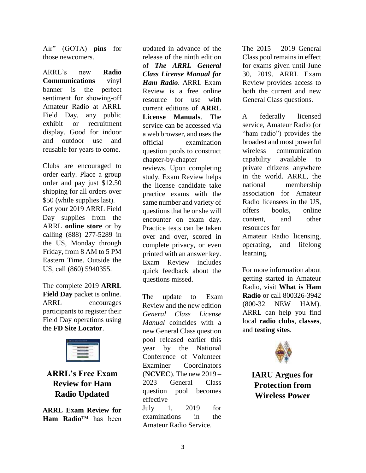Air" (GOTA) **pins** for those newcomers.

ARRL's new **Radio Communications** vinyl banner is the perfect sentiment for showing-off Amateur Radio at ARRL Field Day, any public exhibit or recruitment display. Good for indoor and outdoor use and reusable for years to come.

Clubs are encouraged to order early. Place a group order and pay just \$12.50 shipping for all orders over \$50 (while supplies last). Get your 2019 ARRL Field Day supplies from the ARRL **online store** or by calling (888) 277-5289 in the US, Monday through Friday, from 8 AM to 5 PM Eastern Time. Outside the US, call (860) 5940355.

The complete 2019 **ARRL Field Day** packet is online. ARRL encourages participants to register their Field Day operations using the **FD Site Locator**.



**ARRL's Free Exam Review for Ham Radio Updated** 

**ARRL Exam Review for Ham Radio**™ has been

updated in advance of the release of the ninth edition of *The ARRL General Class License Manual for Ham Radio*. ARRL Exam Review is a free online resource for use with current editions of **ARRL License Manuals**. The service can be accessed via a web browser, and uses the official examination question pools to construct chapter-by-chapter reviews. Upon completing study, Exam Review helps the license candidate take practice exams with the same number and variety of questions that he or she will encounter on exam day. Practice tests can be taken over and over, scored in complete privacy, or even printed with an answer key. Exam Review includes quick feedback about the questions missed.

The update to Exam Review and the new edition *General Class License Manual* coincides with a new General Class question pool released earlier this year by the National Conference of Volunteer Examiner Coordinators (**NCVEC**). The new 2019 – 2023 General Class question pool becomes effective July 1, 2019 for examinations in the Amateur Radio Service.

The 2015 – 2019 General Class pool remains in effect for exams given until June 30, 2019. ARRL Exam Review provides access to both the current and new General Class questions.

A federally licensed service, Amateur Radio (or "ham radio") provides the broadest and most powerful wireless communication capability available to private citizens anywhere in the world. ARRL, the national membership association for Amateur Radio licensees in the US, offers books, online content, and other resources for Amateur Radio licensing, operating, and lifelong learning.

For more information about getting started in Amateur Radio, visit **What is Ham Radio** or call 800326-3942 (800-32 NEW HAM). ARRL can help you find local **radio clubs**, **classes**, and **testing sites**.



**IARU Argues for Protection from Wireless Power**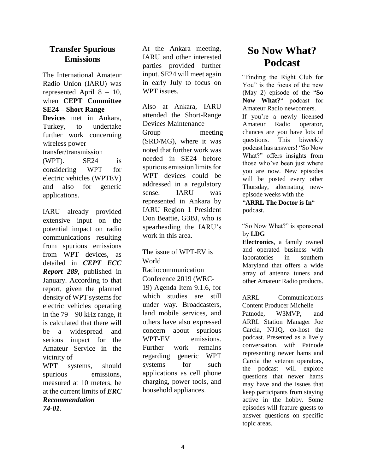#### **Transfer Spurious Emissions**

The International Amateur Radio Union (IARU) was represented April 8 – 10, when **CEPT Committee SE24 – Short Range Devices** met in Ankara, Turkey, to undertake further work concerning wireless power transfer/transmission (WPT). SE24 is considering WPT for electric vehicles (WPTEV) and also for generic applications.

IARU already provided extensive input on the potential impact on radio communications resulting from spurious emissions from WPT devices, as detailed in *CEPT ECC Report 289*, published in January. According to that report, given the planned density of WPT systems for electric vehicles operating in the 79 – 90 kHz range, it is calculated that there will be a widespread and serious impact for the Amateur Service in the vicinity of WPT systems, should

spurious emissions, measured at 10 meters, be at the current limits of *ERC Recommendation 74-01*.

At the Ankara meeting, IARU and other interested parties provided further input. SE24 will meet again in early July to focus on WPT issues.

Also at Ankara, IARU attended the Short-Range Devices Maintenance Group meeting (SRD/MG), where it was noted that further work was needed in SE24 before spurious emission limits for WPT devices could be addressed in a regulatory sense. IARU was represented in Ankara by IARU Region 1 President Don Beattie, G3BJ, who is spearheading the IARU's work in this area.

#### The issue of WPT-EV is World

Radiocommunication Conference 2019 (WRC-19) Agenda Item 9.1.6, for which studies are still under way. Broadcasters, land mobile services, and others have also expressed concern about spurious WPT-EV emissions. Further work remains regarding generic WPT systems for such applications as cell phone charging, power tools, and household appliances.

# **So Now What? Podcast**

"Finding the Right Club for You" is the focus of the new (May 2) episode of the "**So Now What?**" podcast for Amateur Radio newcomers.

If you're a newly licensed Amateur Radio operator, chances are you have lots of questions. This biweekly podcast has answers! "So Now What?" offers insights from those who've been just where you are now. New episodes will be posted every other Thursday, alternating newepisode weeks with the

"**ARRL The Doctor is In**" podcast.

"So Now What?" is sponsored by **LDG** 

**Electronics**, a family owned and operated business with laboratories in southern Maryland that offers a wide array of antenna tuners and other Amateur Radio products.

ARRL Communications Content Producer Michelle Patnode. W3MVP, and ARRL Station Manager Joe Carcia, NJ1Q, co-host the podcast. Presented as a lively conversation, with Patnode representing newer hams and Carcia the veteran operators, the podcast will explore questions that newer hams may have and the issues that keep participants from staying active in the hobby. Some episodes will feature guests to answer questions on specific topic areas.